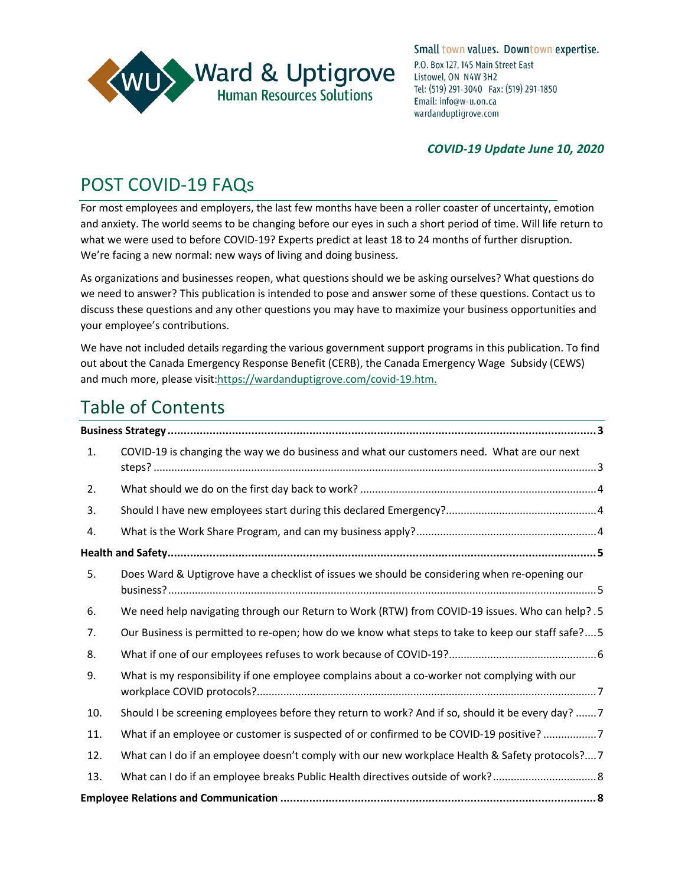

#### *COVID-19 Update June 10, 2020*

## POST COVID-19 FAQs

For most employees and employers, the last few months have been a roller coaster of uncertainty, emotion and anxiety. The world seems to be changing before our eyes in such a short period of time. Will life return to what we were used to before COVID-19? Experts predict at least 18 to 24 months of further disruption. We're facing a new normal: new ways of living and doing business.

As organizations and businesses reopen, what questions should we be asking ourselves? What questions do we need to answer? This publication is intended to pose and answer some of these questions. Contact us to discuss these questions and any other questions you may have to maximize your business opportunities and your employee's contributions.

We have not included details regarding the various government support programs in this publication. To find out about the Canada Emergency Response Benefit (CERB), the Canada Emergency Wage Subsidy (CEWS) and much more, please visit[:https://wardanduptigrove.com/covid-19.htm.](https://wardanduptigrove.com/covid-19.htm)

# Table of Contents

| 1.  | COVID-19 is changing the way we do business and what our customers need. What are our next        |
|-----|---------------------------------------------------------------------------------------------------|
| 2.  |                                                                                                   |
| 3.  |                                                                                                   |
| 4.  |                                                                                                   |
|     |                                                                                                   |
| 5.  | Does Ward & Uptigrove have a checklist of issues we should be considering when re-opening our     |
| 6.  | We need help navigating through our Return to Work (RTW) from COVID-19 issues. Who can help? . 5  |
| 7.  | Our Business is permitted to re-open; how do we know what steps to take to keep our staff safe?5  |
| 8.  |                                                                                                   |
| 9.  | What is my responsibility if one employee complains about a co-worker not complying with our      |
| 10. | Should I be screening employees before they return to work? And if so, should it be every day?  7 |
| 11. | What if an employee or customer is suspected of or confirmed to be COVID-19 positive? 7           |
| 12. | What can I do if an employee doesn't comply with our new workplace Health & Safety protocols?7    |
| 13. |                                                                                                   |
|     |                                                                                                   |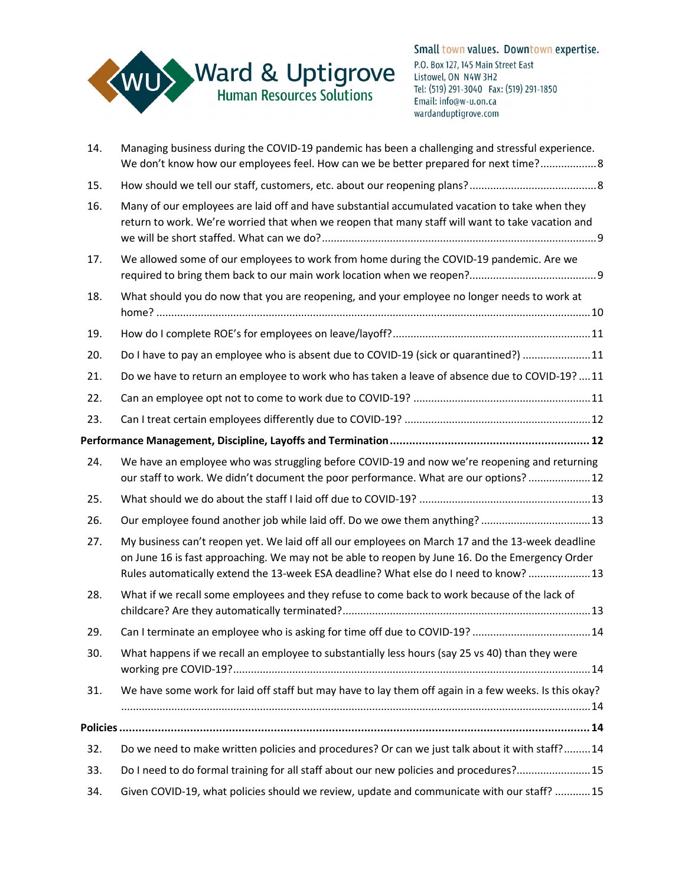

| 14. | Managing business during the COVID-19 pandemic has been a challenging and stressful experience.<br>We don't know how our employees feel. How can we be better prepared for next time? 8                                                                                                      |
|-----|----------------------------------------------------------------------------------------------------------------------------------------------------------------------------------------------------------------------------------------------------------------------------------------------|
| 15. |                                                                                                                                                                                                                                                                                              |
| 16. | Many of our employees are laid off and have substantial accumulated vacation to take when they<br>return to work. We're worried that when we reopen that many staff will want to take vacation and                                                                                           |
| 17. | We allowed some of our employees to work from home during the COVID-19 pandemic. Are we                                                                                                                                                                                                      |
| 18. | What should you do now that you are reopening, and your employee no longer needs to work at                                                                                                                                                                                                  |
| 19. |                                                                                                                                                                                                                                                                                              |
| 20. | Do I have to pay an employee who is absent due to COVID-19 (sick or quarantined?) 11                                                                                                                                                                                                         |
| 21. | Do we have to return an employee to work who has taken a leave of absence due to COVID-19?  11                                                                                                                                                                                               |
| 22. |                                                                                                                                                                                                                                                                                              |
| 23. |                                                                                                                                                                                                                                                                                              |
|     |                                                                                                                                                                                                                                                                                              |
| 24. | We have an employee who was struggling before COVID-19 and now we're reopening and returning<br>our staff to work. We didn't document the poor performance. What are our options?  12                                                                                                        |
| 25. |                                                                                                                                                                                                                                                                                              |
| 26. | Our employee found another job while laid off. Do we owe them anything? 13                                                                                                                                                                                                                   |
| 27. | My business can't reopen yet. We laid off all our employees on March 17 and the 13-week deadline<br>on June 16 is fast approaching. We may not be able to reopen by June 16. Do the Emergency Order<br>Rules automatically extend the 13-week ESA deadline? What else do I need to know?  13 |
| 28. | What if we recall some employees and they refuse to come back to work because of the lack of                                                                                                                                                                                                 |
| 29. | Can I terminate an employee who is asking for time off due to COVID-19? 14                                                                                                                                                                                                                   |
| 30. | What happens if we recall an employee to substantially less hours (say 25 vs 40) than they were                                                                                                                                                                                              |
| 31. | We have some work for laid off staff but may have to lay them off again in a few weeks. Is this okay?                                                                                                                                                                                        |
|     |                                                                                                                                                                                                                                                                                              |
| 32. | Do we need to make written policies and procedures? Or can we just talk about it with staff? 14                                                                                                                                                                                              |
| 33. | Do I need to do formal training for all staff about our new policies and procedures? 15                                                                                                                                                                                                      |
| 34. | Given COVID-19, what policies should we review, update and communicate with our staff?  15                                                                                                                                                                                                   |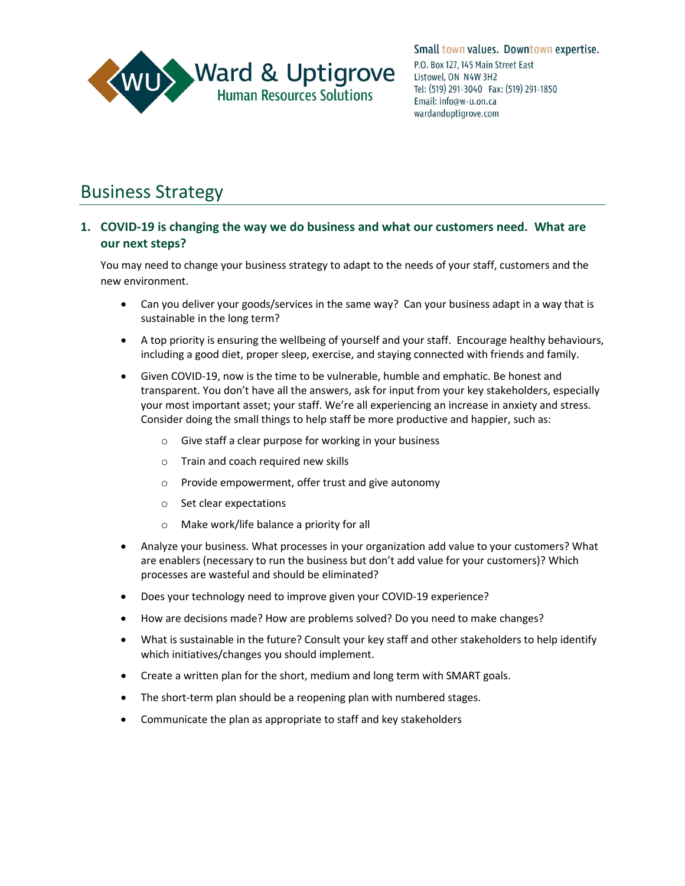

## <span id="page-2-0"></span>Business Strategy

#### <span id="page-2-1"></span>**1. COVID-19 is changing the way we do business and what our customers need. What are our next steps?**

You may need to change your business strategy to adapt to the needs of your staff, customers and the new environment.

- Can you deliver your goods/services in the same way? Can your business adapt in a way that is sustainable in the long term?
- A top priority is ensuring the wellbeing of yourself and your staff. Encourage healthy behaviours, including a good diet, proper sleep, exercise, and staying connected with friends and family.
- Given COVID-19, now is the time to be vulnerable, humble and emphatic. Be honest and transparent. You don't have all the answers, ask for input from your key stakeholders, especially your most important asset; your staff. We're all experiencing an increase in anxiety and stress. Consider doing the small things to help staff be more productive and happier, such as:
	- o Give staff a clear purpose for working in your business
	- o Train and coach required new skills
	- o Provide empowerment, offer trust and give autonomy
	- o Set clear expectations
	- o Make work/life balance a priority for all
- Analyze your business. What processes in your organization add value to your customers? What are enablers (necessary to run the business but don't add value for your customers)? Which processes are wasteful and should be eliminated?
- Does your technology need to improve given your COVID-19 experience?
- How are decisions made? How are problems solved? Do you need to make changes?
- What is sustainable in the future? Consult your key staff and other stakeholders to help identify which initiatives/changes you should implement.
- Create a written plan for the short, medium and long term with SMART goals.
- The short-term plan should be a reopening plan with numbered stages.
- Communicate the plan as appropriate to staff and key stakeholders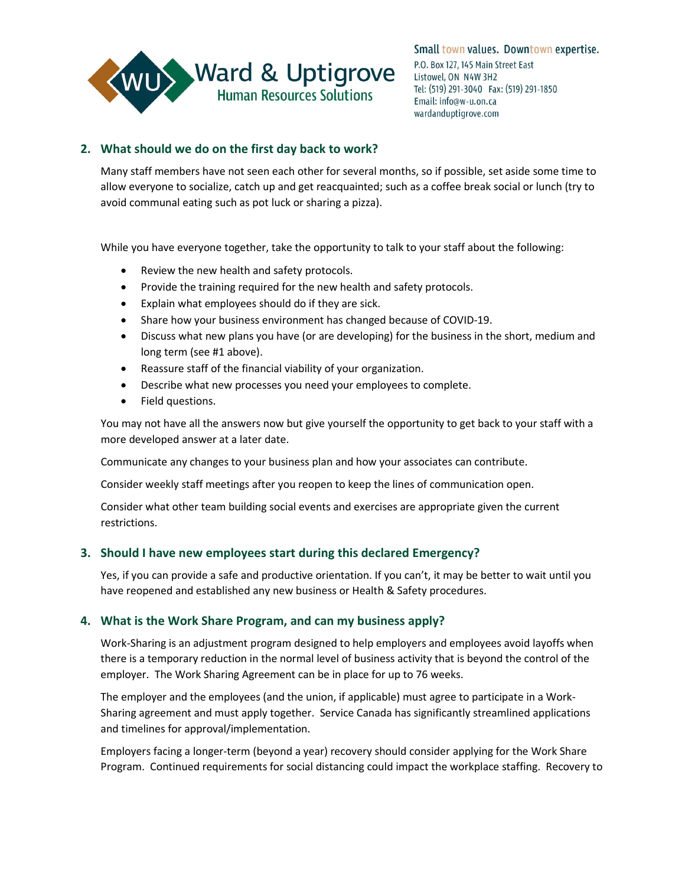

#### <span id="page-3-0"></span>**2. What should we do on the first day back to work?**

Many staff members have not seen each other for several months, so if possible, set aside some time to allow everyone to socialize, catch up and get reacquainted; such as a coffee break social or lunch (try to avoid communal eating such as pot luck or sharing a pizza).

While you have everyone together, take the opportunity to talk to your staff about the following:

- Review the new health and safety protocols.
- Provide the training required for the new health and safety protocols.
- Explain what employees should do if they are sick.
- Share how your business environment has changed because of COVID-19.
- Discuss what new plans you have (or are developing) for the business in the short, medium and long term (see #1 above).
- Reassure staff of the financial viability of your organization.
- Describe what new processes you need your employees to complete.
- Field questions.

You may not have all the answers now but give yourself the opportunity to get back to your staff with a more developed answer at a later date.

Communicate any changes to your business plan and how your associates can contribute.

Consider weekly staff meetings after you reopen to keep the lines of communication open.

Consider what other team building social events and exercises are appropriate given the current restrictions.

#### <span id="page-3-1"></span>**3. Should I have new employees start during this declared Emergency?**

Yes, if you can provide a safe and productive orientation. If you can't, it may be better to wait until you have reopened and established any new business or Health & Safety procedures.

#### <span id="page-3-2"></span>**4. What is the Work Share Program, and can my business apply?**

Work-Sharing is an adjustment program designed to help employers and employees avoid layoffs when there is a temporary reduction in the normal level of business activity that is beyond the control of the employer. The Work Sharing Agreement can be in place for up to 76 weeks.

The employer and the employees (and the union, if applicable) must agree to participate in a Work-Sharing agreement and must apply together. Service Canada has significantly streamlined applications and timelines for approval/implementation.

Employers facing a longer-term (beyond a year) recovery should consider applying for the Work Share Program. Continued requirements for social distancing could impact the workplace staffing. Recovery to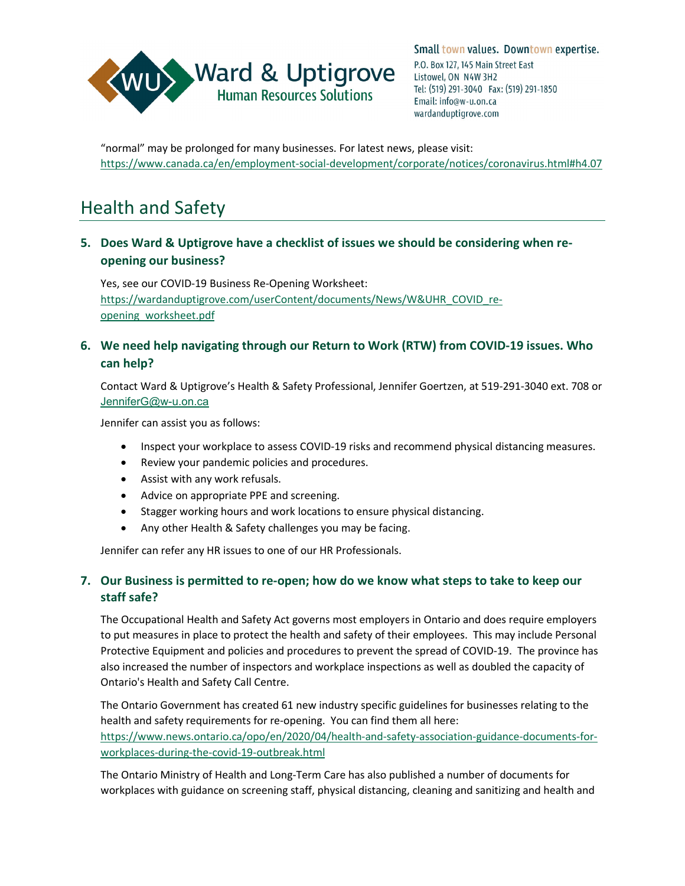

"normal" may be prolonged for many businesses. For latest news, please visit: <https://www.canada.ca/en/employment-social-development/corporate/notices/coronavirus.html#h4.07>

## <span id="page-4-0"></span>Health and Safety

## <span id="page-4-1"></span>**5. Does Ward & Uptigrove have a checklist of issues we should be considering when reopening our business?**

Yes, see our COVID-19 Business Re-Opening Worksheet: [https://wardanduptigrove.com/userContent/documents/News/W&UHR\\_COVID\\_re](https://wardanduptigrove.com/userContent/documents/News/W&UHR_COVID_re-opening_worksheet.pdf)[opening\\_worksheet.pdf](https://wardanduptigrove.com/userContent/documents/News/W&UHR_COVID_re-opening_worksheet.pdf)

## <span id="page-4-2"></span>**6. We need help navigating through our Return to Work (RTW) from COVID-19 issues. Who can help?**

Contact Ward & Uptigrove's Health & Safety Professional, Jennifer Goertzen, at 519-291-3040 ext. 708 or [JenniferG@w-u.on.ca](mailto:JenniferG@w-u.on.ca)

Jennifer can assist you as follows:

- Inspect your workplace to assess COVID-19 risks and recommend physical distancing measures.
- Review your pandemic policies and procedures.
- Assist with any work refusals.
- Advice on appropriate PPE and screening.
- Stagger working hours and work locations to ensure physical distancing.
- Any other Health & Safety challenges you may be facing.

Jennifer can refer any HR issues to one of our HR Professionals.

## <span id="page-4-3"></span>**7. Our Business is permitted to re-open; how do we know what steps to take to keep our staff safe?**

The Occupational Health and Safety Act governs most employers in Ontario and does require employers to put measures in place to protect the health and safety of their employees. This may include Personal Protective Equipment and policies and procedures to prevent the spread of COVID-19. The province has also increased the number of inspectors and workplace inspections as well as doubled the capacity of Ontario's Health and Safety Call Centre.

The Ontario Government has created 61 new industry specific guidelines for businesses relating to the health and safety requirements for re-opening. You can find them all here: [https://www.news.ontario.ca/opo/en/2020/04/health-and-safety-association-guidance-documents-for](https://www.news.ontario.ca/opo/en/2020/04/health-and-safety-association-guidance-documents-for-workplaces-during-the-covid-19-outbreak.html)[workplaces-during-the-covid-19-outbreak.html](https://www.news.ontario.ca/opo/en/2020/04/health-and-safety-association-guidance-documents-for-workplaces-during-the-covid-19-outbreak.html)

The Ontario Ministry of Health and Long-Term Care has also published a number of documents for workplaces with guidance on screening staff, physical distancing, cleaning and sanitizing and health and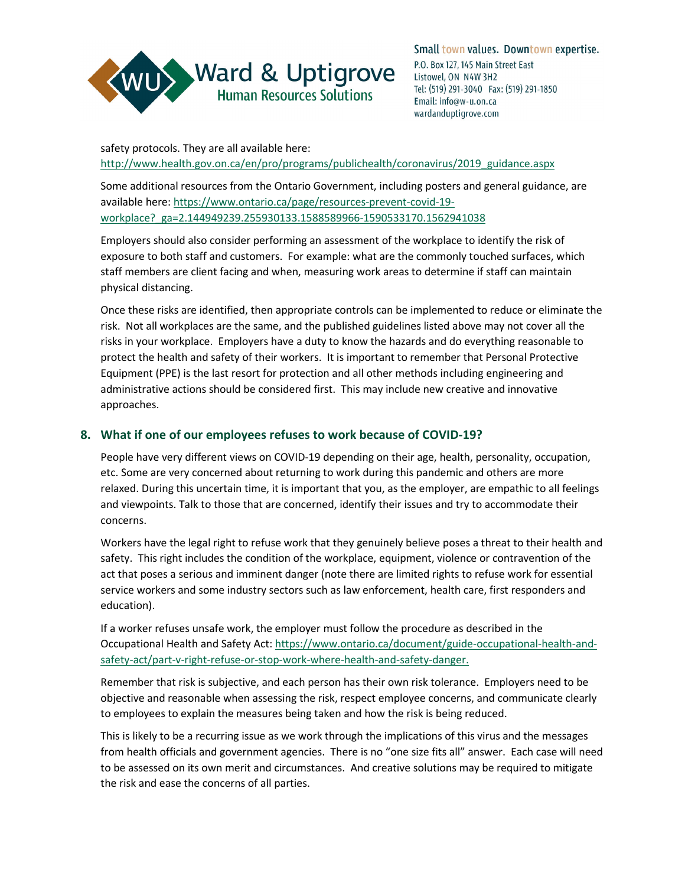

safety protocols. They are all available here: [http://www.health.gov.on.ca/en/pro/programs/publichealth/coronavirus/2019\\_guidance.aspx](http://www.health.gov.on.ca/en/pro/programs/publichealth/coronavirus/2019_guidance.aspx)

Some additional resources from the Ontario Government, including posters and general guidance, are available here: [https://www.ontario.ca/page/resources-prevent-covid-19](https://www.ontario.ca/page/resources-prevent-covid-19-workplace?_ga=2.144949239.255930133.1588589966-1590533170.1562941038) [workplace?\\_ga=2.144949239.255930133.1588589966-1590533170.1562941038](https://www.ontario.ca/page/resources-prevent-covid-19-workplace?_ga=2.144949239.255930133.1588589966-1590533170.1562941038)

Employers should also consider performing an assessment of the workplace to identify the risk of exposure to both staff and customers. For example: what are the commonly touched surfaces, which staff members are client facing and when, measuring work areas to determine if staff can maintain physical distancing.

Once these risks are identified, then appropriate controls can be implemented to reduce or eliminate the risk. Not all workplaces are the same, and the published guidelines listed above may not cover all the risks in your workplace. Employers have a duty to know the hazards and do everything reasonable to protect the health and safety of their workers. It is important to remember that Personal Protective Equipment (PPE) is the last resort for protection and all other methods including engineering and administrative actions should be considered first. This may include new creative and innovative approaches.

#### <span id="page-5-0"></span>**8. What if one of our employees refuses to work because of COVID-19?**

People have very different views on COVID-19 depending on their age, health, personality, occupation, etc. Some are very concerned about returning to work during this pandemic and others are more relaxed. During this uncertain time, it is important that you, as the employer, are empathic to all feelings and viewpoints. Talk to those that are concerned, identify their issues and try to accommodate their concerns.

Workers have the legal right to refuse work that they genuinely believe poses a threat to their health and safety. This right includes the condition of the workplace, equipment, violence or contravention of the act that poses a serious and imminent danger (note there are limited rights to refuse work for essential service workers and some industry sectors such as law enforcement, health care, first responders and education).

If a worker refuses unsafe work, the employer must follow the procedure as described in the Occupational Health and Safety Act: [https://www.ontario.ca/document/guide-occupational-health-and](https://www.ontario.ca/document/guide-occupational-health-and-safety-act/part-v-right-refuse-or-stop-work-where-health-and-safety-danger)[safety-act/part-v-right-refuse-or-stop-work-where-health-and-safety-danger.](https://www.ontario.ca/document/guide-occupational-health-and-safety-act/part-v-right-refuse-or-stop-work-where-health-and-safety-danger)

Remember that risk is subjective, and each person has their own risk tolerance. Employers need to be objective and reasonable when assessing the risk, respect employee concerns, and communicate clearly to employees to explain the measures being taken and how the risk is being reduced.

This is likely to be a recurring issue as we work through the implications of this virus and the messages from health officials and government agencies. There is no "one size fits all" answer. Each case will need to be assessed on its own merit and circumstances. And creative solutions may be required to mitigate the risk and ease the concerns of all parties.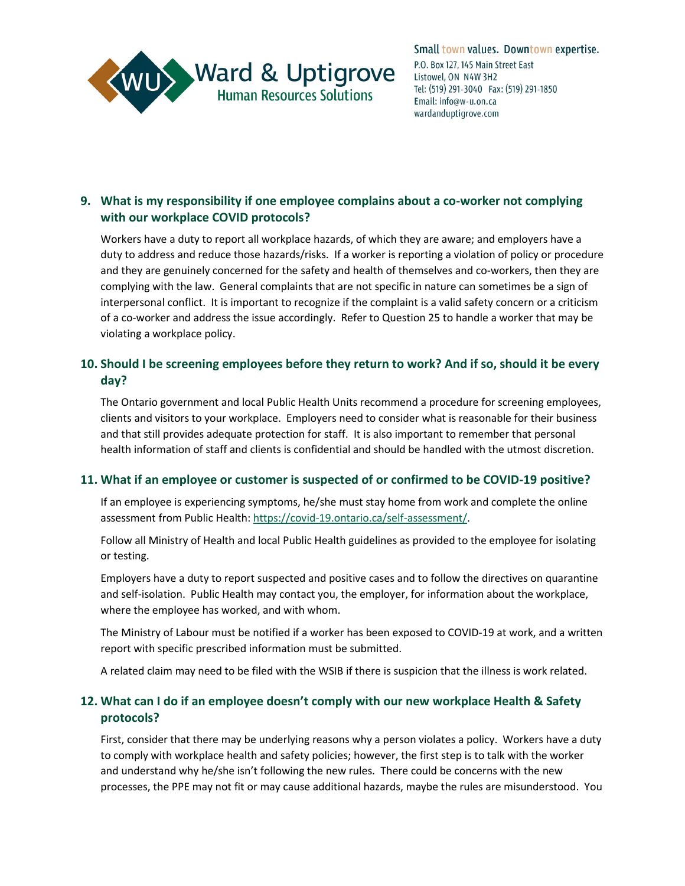

## <span id="page-6-0"></span>**9. What is my responsibility if one employee complains about a co-worker not complying with our workplace COVID protocols?**

Workers have a duty to report all workplace hazards, of which they are aware; and employers have a duty to address and reduce those hazards/risks. If a worker is reporting a violation of policy or procedure and they are genuinely concerned for the safety and health of themselves and co-workers, then they are complying with the law. General complaints that are not specific in nature can sometimes be a sign of interpersonal conflict. It is important to recognize if the complaint is a valid safety concern or a criticism of a co-worker and address the issue accordingly. Refer to Question 25 to handle a worker that may be violating a workplace policy.

## <span id="page-6-1"></span>**10. Should I be screening employees before they return to work? And if so, should it be every day?**

The Ontario government and local Public Health Units recommend a procedure for screening employees, clients and visitors to your workplace. Employers need to consider what is reasonable for their business and that still provides adequate protection for staff. It is also important to remember that personal health information of staff and clients is confidential and should be handled with the utmost discretion.

#### <span id="page-6-2"></span>**11. What if an employee or customer is suspected of or confirmed to be COVID-19 positive?**

If an employee is experiencing symptoms, he/she must stay home from work and complete the online assessment from Public Health[: https://covid-19.ontario.ca/self-assessment/.](https://covid-19.ontario.ca/self-assessment/)

Follow all Ministry of Health and local Public Health guidelines as provided to the employee for isolating or testing.

Employers have a duty to report suspected and positive cases and to follow the directives on quarantine and self-isolation. Public Health may contact you, the employer, for information about the workplace, where the employee has worked, and with whom.

The Ministry of Labour must be notified if a worker has been exposed to COVID-19 at work, and a written report with specific prescribed information must be submitted.

A related claim may need to be filed with the WSIB if there is suspicion that the illness is work related.

## <span id="page-6-3"></span>**12. What can I do if an employee doesn't comply with our new workplace Health & Safety protocols?**

First, consider that there may be underlying reasons why a person violates a policy. Workers have a duty to comply with workplace health and safety policies; however, the first step is to talk with the worker and understand why he/she isn't following the new rules. There could be concerns with the new processes, the PPE may not fit or may cause additional hazards, maybe the rules are misunderstood. You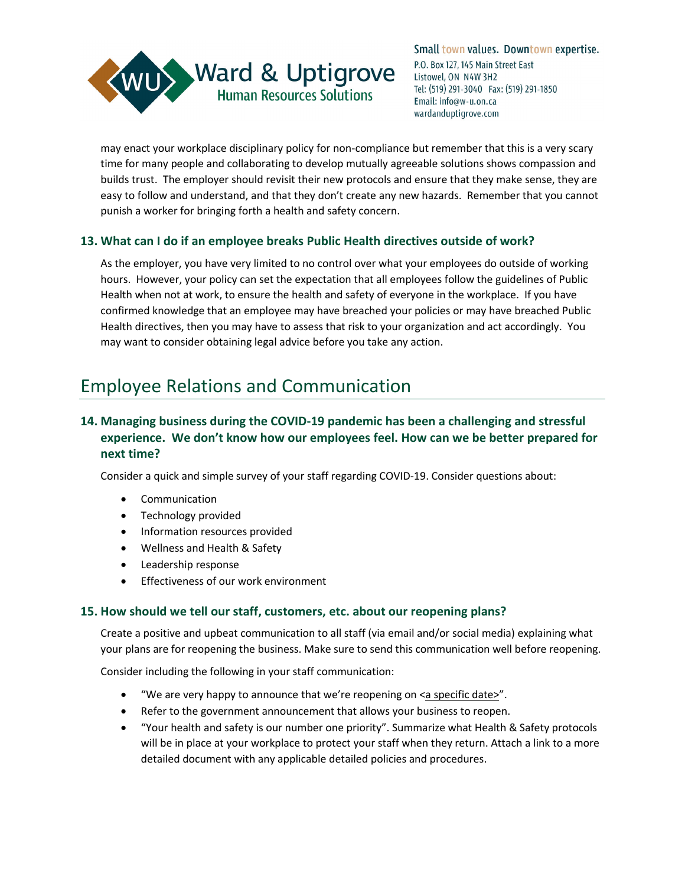

may enact your workplace disciplinary policy for non-compliance but remember that this is a very scary time for many people and collaborating to develop mutually agreeable solutions shows compassion and builds trust. The employer should revisit their new protocols and ensure that they make sense, they are easy to follow and understand, and that they don't create any new hazards. Remember that you cannot punish a worker for bringing forth a health and safety concern.

#### <span id="page-7-0"></span>**13. What can I do if an employee breaks Public Health directives outside of work?**

As the employer, you have very limited to no control over what your employees do outside of working hours. However, your policy can set the expectation that all employees follow the guidelines of Public Health when not at work, to ensure the health and safety of everyone in the workplace. If you have confirmed knowledge that an employee may have breached your policies or may have breached Public Health directives, then you may have to assess that risk to your organization and act accordingly. You may want to consider obtaining legal advice before you take any action.

## <span id="page-7-1"></span>Employee Relations and Communication

## <span id="page-7-2"></span>**14. Managing business during the COVID-19 pandemic has been a challenging and stressful experience. We don't know how our employees feel. How can we be better prepared for next time?**

Consider a quick and simple survey of your staff regarding COVID-19. Consider questions about:

- Communication
- Technology provided
- Information resources provided
- Wellness and Health & Safety
- Leadership response
- Effectiveness of our work environment

#### <span id="page-7-3"></span>**15. How should we tell our staff, customers, etc. about our reopening plans?**

Create a positive and upbeat communication to all staff (via email and/or social media) explaining what your plans are for reopening the business. Make sure to send this communication well before reopening.

Consider including the following in your staff communication:

- "We are very happy to announce that we're reopening on <a specific date>".
- Refer to the government announcement that allows your business to reopen.
- "Your health and safety is our number one priority". Summarize what Health & Safety protocols will be in place at your workplace to protect your staff when they return. Attach a link to a more detailed document with any applicable detailed policies and procedures.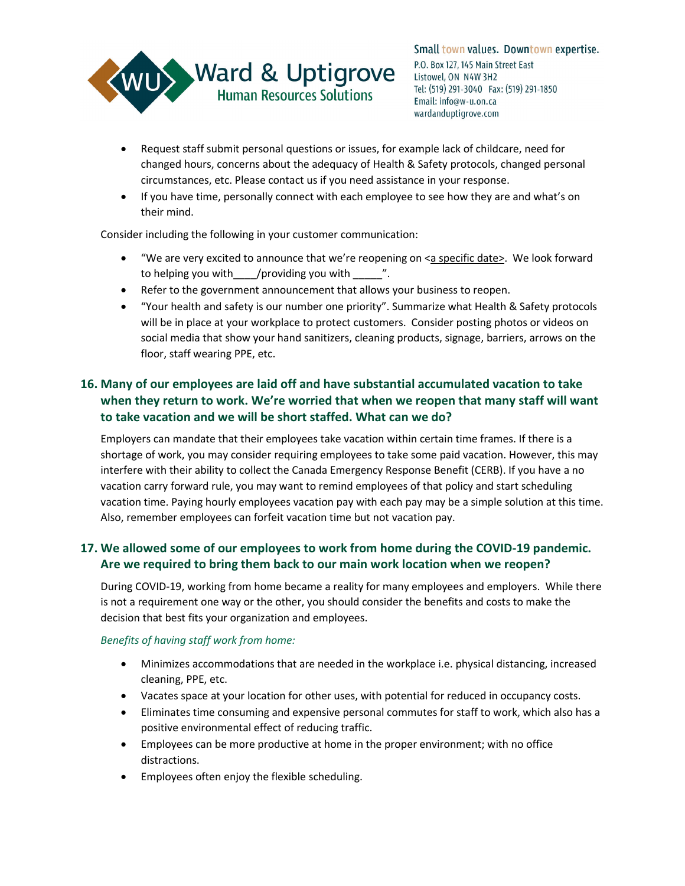

- Request staff submit personal questions or issues, for example lack of childcare, need for changed hours, concerns about the adequacy of Health & Safety protocols, changed personal circumstances, etc. Please contact us if you need assistance in your response.
- If you have time, personally connect with each employee to see how they are and what's on their mind.

Consider including the following in your customer communication:

- "We are very excited to announce that we're reopening on <a specific date>. We look forward to helping you with /providing you with  $\sim$  ".
- Refer to the government announcement that allows your business to reopen.
- "Your health and safety is our number one priority". Summarize what Health & Safety protocols will be in place at your workplace to protect customers. Consider posting photos or videos on social media that show your hand sanitizers, cleaning products, signage, barriers, arrows on the floor, staff wearing PPE, etc.

## <span id="page-8-0"></span>**16. Many of our employees are laid off and have substantial accumulated vacation to take when they return to work. We're worried that when we reopen that many staff will want to take vacation and we will be short staffed. What can we do?**

Employers can mandate that their employees take vacation within certain time frames. If there is a shortage of work, you may consider requiring employees to take some paid vacation. However, this may interfere with their ability to collect the Canada Emergency Response Benefit (CERB). If you have a no vacation carry forward rule, you may want to remind employees of that policy and start scheduling vacation time. Paying hourly employees vacation pay with each pay may be a simple solution at this time. Also, remember employees can forfeit vacation time but not vacation pay.

## <span id="page-8-1"></span>**17. We allowed some of our employees to work from home during the COVID-19 pandemic. Are we required to bring them back to our main work location when we reopen?**

During COVID-19, working from home became a reality for many employees and employers. While there is not a requirement one way or the other, you should consider the benefits and costs to make the decision that best fits your organization and employees.

#### *Benefits of having staff work from home:*

- Minimizes accommodations that are needed in the workplace i.e. physical distancing, increased cleaning, PPE, etc.
- Vacates space at your location for other uses, with potential for reduced in occupancy costs.
- Eliminates time consuming and expensive personal commutes for staff to work, which also has a positive environmental effect of reducing traffic.
- Employees can be more productive at home in the proper environment; with no office distractions.
- Employees often enjoy the flexible scheduling.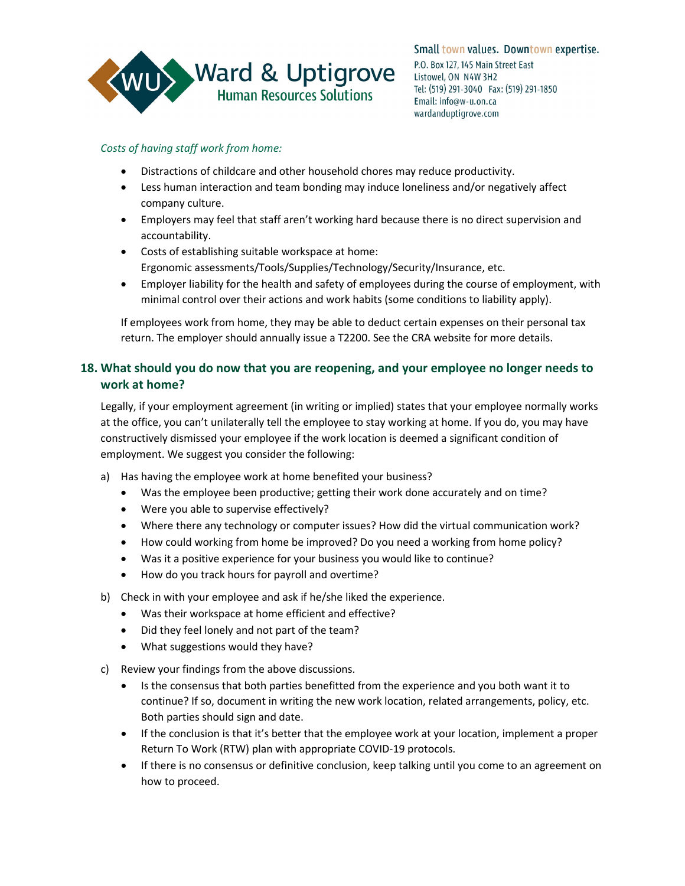

#### *Costs of having staff work from home:*

- Distractions of childcare and other household chores may reduce productivity.
- Less human interaction and team bonding may induce loneliness and/or negatively affect company culture.
- Employers may feel that staff aren't working hard because there is no direct supervision and accountability.
- Costs of establishing suitable workspace at home: Ergonomic assessments/Tools/Supplies/Technology/Security/Insurance, etc.
- Employer liability for the health and safety of employees during the course of employment, with minimal control over their actions and work habits (some conditions to liability apply).

If employees work from home, they may be able to deduct certain expenses on their personal tax return. The employer should annually issue a T2200. See the CRA website for more details.

## <span id="page-9-0"></span>**18. What should you do now that you are reopening, and your employee no longer needs to work at home?**

Legally, if your employment agreement (in writing or implied) states that your employee normally works at the office, you can't unilaterally tell the employee to stay working at home. If you do, you may have constructively dismissed your employee if the work location is deemed a significant condition of employment. We suggest you consider the following:

- a) Has having the employee work at home benefited your business?
	- Was the employee been productive; getting their work done accurately and on time?
	- Were you able to supervise effectively?
	- Where there any technology or computer issues? How did the virtual communication work?
	- How could working from home be improved? Do you need a working from home policy?
	- Was it a positive experience for your business you would like to continue?
	- How do you track hours for payroll and overtime?
- b) Check in with your employee and ask if he/she liked the experience.
	- Was their workspace at home efficient and effective?
	- Did they feel lonely and not part of the team?
	- What suggestions would they have?
- c) Review your findings from the above discussions.
	- Is the consensus that both parties benefitted from the experience and you both want it to continue? If so, document in writing the new work location, related arrangements, policy, etc. Both parties should sign and date.
	- If the conclusion is that it's better that the employee work at your location, implement a proper Return To Work (RTW) plan with appropriate COVID-19 protocols.
	- If there is no consensus or definitive conclusion, keep talking until you come to an agreement on how to proceed.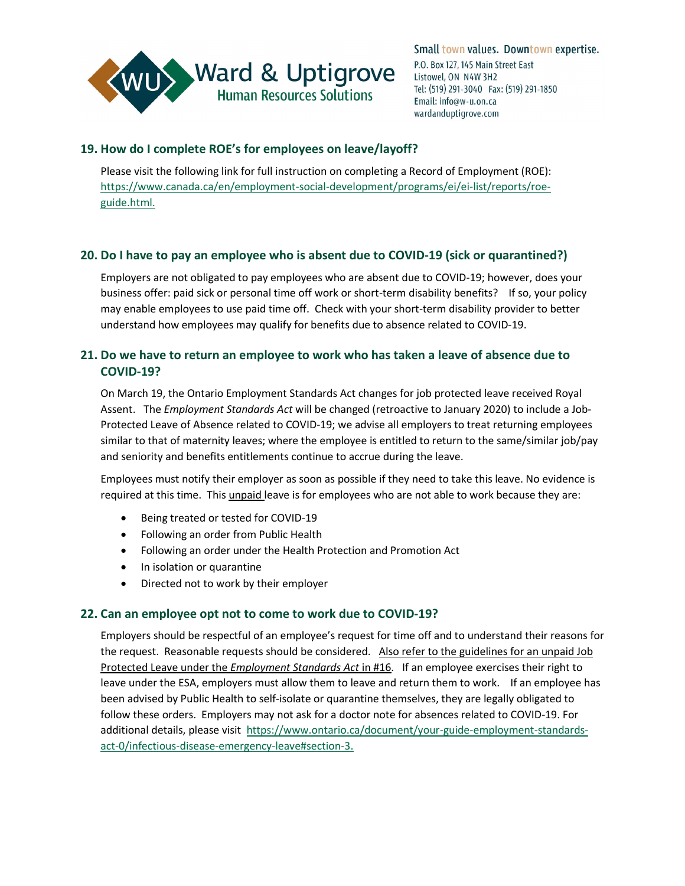

#### <span id="page-10-0"></span>**19. How do I complete ROE's for employees on leave/layoff?**

Please visit the following link for full instruction on completing a Record of Employment (ROE): [https://www.canada.ca/en/employment-social-development/programs/ei/ei-list/reports/roe](https://www.canada.ca/en/employment-social-development/programs/ei/ei-list/reports/roe-guide.html)[guide.html.](https://www.canada.ca/en/employment-social-development/programs/ei/ei-list/reports/roe-guide.html)

#### <span id="page-10-1"></span>**20. Do I have to pay an employee who is absent due to COVID-19 (sick or quarantined?)**

Employers are not obligated to pay employees who are absent due to COVID-19; however, does your business offer: paid sick or personal time off work or short-term disability benefits? If so, your policy may enable employees to use paid time off. Check with your short-term disability provider to better understand how employees may qualify for benefits due to absence related to COVID-19.

## <span id="page-10-2"></span>**21. Do we have to return an employee to work who has taken a leave of absence due to COVID-19?**

On March 19, the Ontario Employment Standards Act changes for job protected leave received Royal Assent. The *Employment Standards Act* will be changed (retroactive to January 2020) to include a Job-Protected Leave of Absence related to COVID-19; we advise all employers to treat returning employees similar to that of maternity leaves; where the employee is entitled to return to the same/similar job/pay and seniority and benefits entitlements continue to accrue during the leave.

Employees must notify their employer as soon as possible if they need to take this leave. No evidence is required at this time. This unpaid leave is for employees who are not able to work because they are:

- Being treated or tested for COVID-19
- Following an order from Public Health
- Following an order under the Health Protection and Promotion Act
- In isolation or quarantine
- Directed not to work by their employer

#### <span id="page-10-3"></span>**22. Can an employee opt not to come to work due to COVID-19?**

Employers should be respectful of an employee's request for time off and to understand their reasons for the request. Reasonable requests should be considered. Also refer to the guidelines for an unpaid Job Protected Leave under the *Employment Standards Act* in #16. If an employee exercises their right to leave under the ESA, employers must allow them to leave and return them to work. If an employee has been advised by Public Health to self-isolate or quarantine themselves, they are legally obligated to follow these orders. Employers may not ask for a doctor note for absences related to COVID-19. For additional details, please visit [https://www.ontario.ca/document/your-guide-employment-standards](https://www.ontario.ca/document/your-guide-employment-standards-act-0/infectious-disease-emergency-leave#section-3)[act-0/infectious-disease-emergency-leave#section-3.](https://www.ontario.ca/document/your-guide-employment-standards-act-0/infectious-disease-emergency-leave#section-3)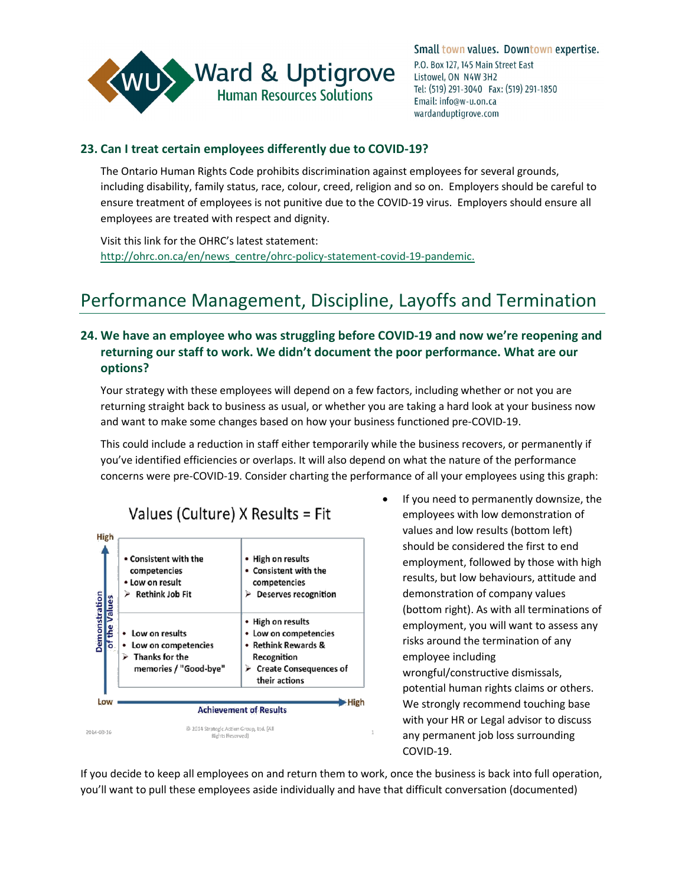

## <span id="page-11-0"></span>**23. Can I treat certain employees differently due to COVID-19?**

The Ontario Human Rights Code prohibits discrimination against employees for several grounds, including disability, family status, race, colour, creed, religion and so on. Employers should be careful to ensure treatment of employees is not punitive due to the COVID-19 virus. Employers should ensure all employees are treated with respect and dignity.

Visit this link for the OHRC's latest statement: [http://ohrc.on.ca/en/news\\_centre/ohrc-policy-statement-covid-19-pandemic.](http://ohrc.on.ca/en/news_centre/ohrc-policy-statement-covid-19-pandemic)

## <span id="page-11-1"></span>Performance Management, Discipline, Layoffs and Termination

## <span id="page-11-2"></span>**24. We have an employee who was struggling before COVID-19 and now we're reopening and returning our staff to work. We didn't document the poor performance. What are our options?**

Your strategy with these employees will depend on a few factors, including whether or not you are returning straight back to business as usual, or whether you are taking a hard look at your business now and want to make some changes based on how your business functioned pre-COVID-19.

This could include a reduction in staff either temporarily while the business recovers, or permanently if you've identified efficiencies or overlaps. It will also depend on what the nature of the performance concerns were pre-COVID-19. Consider charting the performance of all your employees using this graph:



#### values and low results (bottom left) should be considered the first to end employment, followed by those with high results, but low behaviours, attitude and demonstration of company values (bottom right). As with all terminations of employment, you will want to assess any risks around the termination of any employee including wrongful/constructive dismissals, potential human rights claims or others. We strongly recommend touching base with your HR or Legal advisor to discuss  $\bar{1}$ any permanent job loss surrounding COVID-19.

If you need to permanently downsize, the employees with low demonstration of

If you decide to keep all employees on and return them to work, once the business is back into full operation, you'll want to pull these employees aside individually and have that difficult conversation (documented)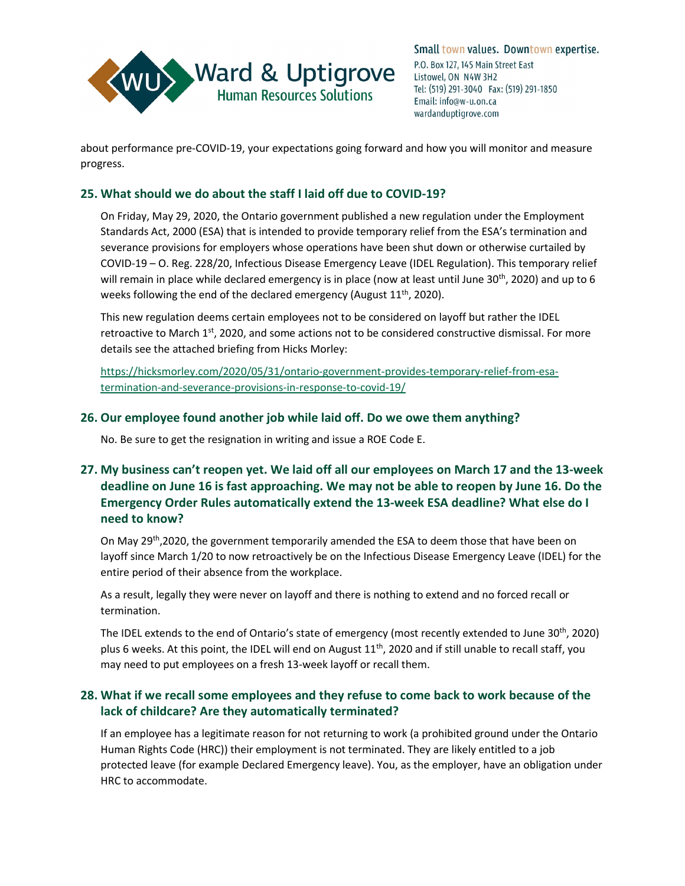

about performance pre-COVID-19, your expectations going forward and how you will monitor and measure progress.

#### <span id="page-12-0"></span>**25. What should we do about the staff I laid off due to COVID-19?**

On Friday, May 29, 2020, the Ontario government published a new regulation under the Employment Standards Act, 2000 (ESA) that is intended to provide temporary relief from the ESA's termination and severance provisions for employers whose operations have been shut down or otherwise curtailed by COVID-19 – [O. Reg. 228/20, Infectious Disease Emergency Leave](https://www.ontario.ca/laws/regulation/r20228) (IDEL Regulation). This temporary relief will remain in place while declared emergency is in place (now at least until June 30<sup>th</sup>, 2020) and up to 6 weeks following the end of the declared emergency (August 11<sup>th</sup>, 2020).

This new regulation deems certain employees not to be considered on layoff but rather the IDEL retroactive to March 1<sup>st</sup>, 2020, and some actions not to be considered constructive dismissal. For more details see the attached briefing from Hicks Morley:

[https://hicksmorley.com/2020/05/31/ontario-government-provides-temporary-relief-from-esa](https://hicksmorley.com/2020/05/31/ontario-government-provides-temporary-relief-from-esa-termination-and-severance-provisions-in-response-to-covid-19/)[termination-and-severance-provisions-in-response-to-covid-19/](https://hicksmorley.com/2020/05/31/ontario-government-provides-temporary-relief-from-esa-termination-and-severance-provisions-in-response-to-covid-19/)

#### <span id="page-12-1"></span>**26. Our employee found another job while laid off. Do we owe them anything?**

No. Be sure to get the resignation in writing and issue a ROE Code E.

## <span id="page-12-2"></span>**27. My business can't reopen yet. We laid off all our employees on March 17 and the 13-week deadline on June 16 is fast approaching. We may not be able to reopen by June 16. Do the Emergency Order Rules automatically extend the 13-week ESA deadline? What else do I need to know?**

On May 29<sup>th</sup>,2020, the government temporarily amended the ESA to deem those that have been on layoff since March 1/20 to now retroactively be on the Infectious Disease Emergency Leave (IDEL) for the entire period of their absence from the workplace.

As a result, legally they were never on layoff and there is nothing to extend and no forced recall or termination.

The IDEL extends to the end of Ontario's state of emergency (most recently extended to June 30<sup>th</sup>, 2020) plus 6 weeks. At this point, the IDEL will end on August  $11<sup>th</sup>$ , 2020 and if still unable to recall staff, you may need to put employees on a fresh 13-week layoff or recall them.

## <span id="page-12-3"></span>**28. What if we recall some employees and they refuse to come back to work because of the lack of childcare? Are they automatically terminated?**

If an employee has a legitimate reason for not returning to work (a prohibited ground under the Ontario Human Rights Code (HRC)) their employment is not terminated. They are likely entitled to a job protected leave (for example Declared Emergency leave). You, as the employer, have an obligation under HRC to accommodate.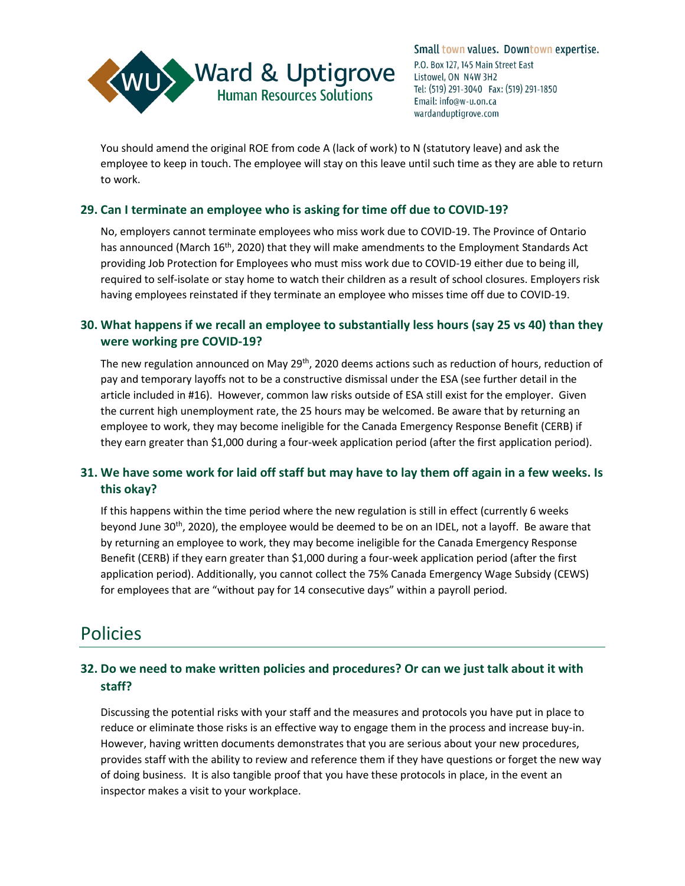

You should amend the original ROE from code A (lack of work) to N (statutory leave) and ask the employee to keep in touch. The employee will stay on this leave until such time as they are able to return to work.

## <span id="page-13-0"></span>**29. Can I terminate an employee who is asking for time off due to COVID-19?**

No, employers cannot terminate employees who miss work due to COVID-19. The Province of Ontario has announced (March 16<sup>th</sup>, 2020) that they will make amendments to the Employment Standards Act providing Job Protection for Employees who must miss work due to COVID-19 either due to being ill, required to self-isolate or stay home to watch their children as a result of school closures. Employers risk having employees reinstated if they terminate an employee who misses time off due to COVID-19.

## <span id="page-13-1"></span>**30. What happens if we recall an employee to substantially less hours (say 25 vs 40) than they were working pre COVID-19?**

The new regulation announced on May 29<sup>th</sup>, 2020 deems actions such as reduction of hours, reduction of pay and temporary layoffs not to be a constructive dismissal under the ESA (see further detail in the article included in #16). However, common law risks outside of ESA still exist for the employer. Given the current high unemployment rate, the 25 hours may be welcomed. Be aware that by returning an employee to work, they may become ineligible for the Canada Emergency Response Benefit (CERB) if they earn greater than \$1,000 during a four-week application period (after the first application period).

## <span id="page-13-2"></span>**31. We have some work for laid off staff but may have to lay them off again in a few weeks. Is this okay?**

If this happens within the time period where the new regulation is still in effect (currently 6 weeks beyond June 30<sup>th</sup>, 2020), the employee would be deemed to be on an IDEL, not a layoff. Be aware that by returning an employee to work, they may become ineligible for the Canada Emergency Response Benefit (CERB) if they earn greater than \$1,000 during a four-week application period (after the first application period). Additionally, you cannot collect the 75% Canada Emergency Wage Subsidy (CEWS) for employees that are "without pay for 14 consecutive days" within a payroll period.

## <span id="page-13-3"></span>Policies

## <span id="page-13-4"></span>**32. Do we need to make written policies and procedures? Or can we just talk about it with staff?**

Discussing the potential risks with your staff and the measures and protocols you have put in place to reduce or eliminate those risks is an effective way to engage them in the process and increase buy-in. However, having written documents demonstrates that you are serious about your new procedures, provides staff with the ability to review and reference them if they have questions or forget the new way of doing business. It is also tangible proof that you have these protocols in place, in the event an inspector makes a visit to your workplace.